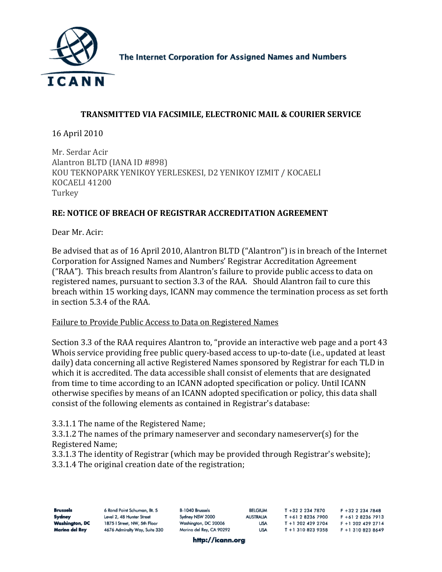

The Internet Corporation for Assigned Names and Numbers

## **TRANSMITTED VIA FACSIMILE, ELECTRONIC MAIL & COURIER SERVICE**

16 April 2010

Mr. Serdar Acir Alantron BLTD (IANA ID #898) KOU TEKNOPARK YENIKOY YERLESKESI, D2 YENIKOY IZMIT / KOCAELI OCAELI 41200 K **Turkey** 

## **RE: NOTICE OF BREACH OF REGISTRAR ACCREDITATION AGREEMENT**

Dear Mr. Acir:

Be advised that as of 16 April 2010, Alantron BLTD ("Alantron") is in breach of the Internet Corporation for Assigned Names and Numbers' Registrar Accreditation Agreement ("RAA"). This breach results from Alantron's failure to provide public access to data on registered names, pursuant to section 3.3 of the RAA. Should Alantron fail to cure this breach within 15 working days, ICANN may commence the termination process as set forth in section 5.3.4 of the RAA.

## Failure to Provide Public Access to Data on Registered Names

Section 3.3 of the RAA requires Alantron to, "provide an interactive web page and a port 43 Whois service providing free public query-based access to up-to-date (i.e., updated at least daily) data concerning all active Registered Names sponsored by Registrar for each TLD in which it is accredited. The data accessible shall consist of elements that are designated from time to time according to an ICANN adopted specification or policy. Until ICANN otherwise specifies by means of an ICANN adopted specification or policy, this data shall consist of the following elements as contained in Registrar's database:

## 3.3.1.1 The name of the Registered Name;

3.3.1.2 The names of the primary nameserver and secondary nameserver(s) for the Registered Name;

3.3.1.3 The identity of Registrar (which may be provided through Registrar's website); .3.1.4 The original creation date of the registration; 3

| <b>Brussels</b> | 6 Rond Point Schuman, Bt. 5   | B-1040 Brussels          | <b>BELGIUM</b>   | T +32 2 234 7870  | $F + 32$ 2 234 7848 |
|-----------------|-------------------------------|--------------------------|------------------|-------------------|---------------------|
| Sydney          | Level 2, 48 Hunter Street     | Sydney NSW 2000          | <b>AUSTRALIA</b> | T +61 2 8236 7900 | F +61 2 8236 7913   |
| Washington, DC  | 1875   Street, NW, 5th Floor  | Washington, DC 20006     | <b>USA</b>       | T +1 202 429 2704 | F +1 202 429 2714   |
| Marina del Rey  | 4676 Admiralty Way, Suite 330 | Marina del Rey, CA 90292 | <b>USA</b>       | T +1 310 823 9358 | F +1 310 823 8649   |

http://icann.org